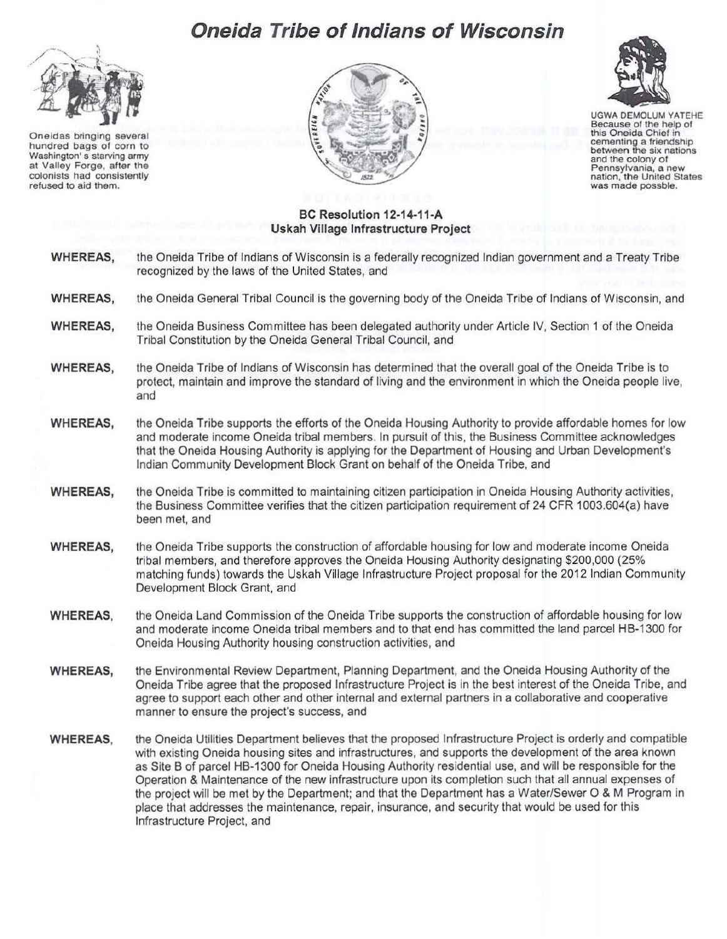## **Oneida Tribe of Indians of Wisconsin**



Oneidas bringing several hundred bags of corn to Washington' s starving army at Valley Forge, after the colonists had consistently refused to aid them.





UGWA DEMOLUM YATEHE Because of the help of this Oneida Chief in cementing a friendship between the six nations and the colony of Pennsylvania, a new nation, the United States was made possble.

## **BC Resolution 12-14-11-A Uskah Village Infrastructure Project**

- **WHEREAS,** the Oneida Tribe of Indians of Wisconsin is a federally recognized Indian government and a Treaty Tribe recognized by the laws of the United States, and
- **WHEREAS,** the Oneida General Tribal Council is the governing body of the Oneida Tribe of Indians of Wisconsin, and
- **WHEREAS,** the Oneida Business Committee has been delegated authority under Article IV, Section 1 of the Oneida Tribal Constitution by the Oneida General Tribal Council, and
- **WHEREAS,** the Oneida Tribe of Indians of Wisconsin has determined that the overall goal of the Oneida Tribe is to protect, maintain and improve the standard of living and the environment in which the Oneida people live, and
- **WHEREAS,** the Oneida Tribe supports the efforts of the Oneida Housing Authority to provide affordable homes for low and moderate income Oneida tribal members. In pursuit of this, the Business Committee acknowledges that the Oneida Housing Authority is applying for the Department of Housing and Urban Development's Indian Community Development Block Grant on behalf of the Oneida Tribe, and
- **WHEREAS,** the Oneida Tribe is committed to maintaining citizen participation in Oneida Housing Authority activities, the Business Committee verifies that the citizen participation requirement of 24 CFR 1003.604(a) have been met, and
- **WHEREAS,** the Oneida Tribe supports the construction of affordable housing for low and moderate income Oneida tribal members, and therefore approves the Oneida Housing Authority designating \$200,000 (25% matching funds) towards the Uskah Village Infrastructure Project proposal for the 2012 Indian Community Development Block Grant. and
- **WHEREAS,** the Oneida Land Commission of the Oneida Tribe supports the construction of affordable housing for low and moderate income Oneida tribal members and to that end has committed the land parcel HB-1300 for Oneida Housing Authority housing construction activities, and
- **WHEREAS,** the Environmental Review Department, Planning Department, and the Oneida Housing Authority of the Oneida Tribe agree that the proposed Infrastructure Project is in the best interest of the Oneida Tribe, and agree to support each other and other internal and external partners in a collaborative and cooperative manner to ensure the project's success, and
- **WHEREAS,** the Oneida Utilities Department believes that the proposed Infrastructure Project is orderly and compatible with existing Oneida housing sites and infrastructures, and supports the development of the area known as Site B of parcel HB-1300 for Oneida Housing Authority residential use, and will be responsible for the Operation & Maintenance of the new infrastructure upon its completion such that all annual expenses of the project will be met by the Department; and that the Department has a Water/Sewer 0 & M Program in place that addresses the maintenance, repair, insurance, and security that would be used for this Infrastructure Project, and